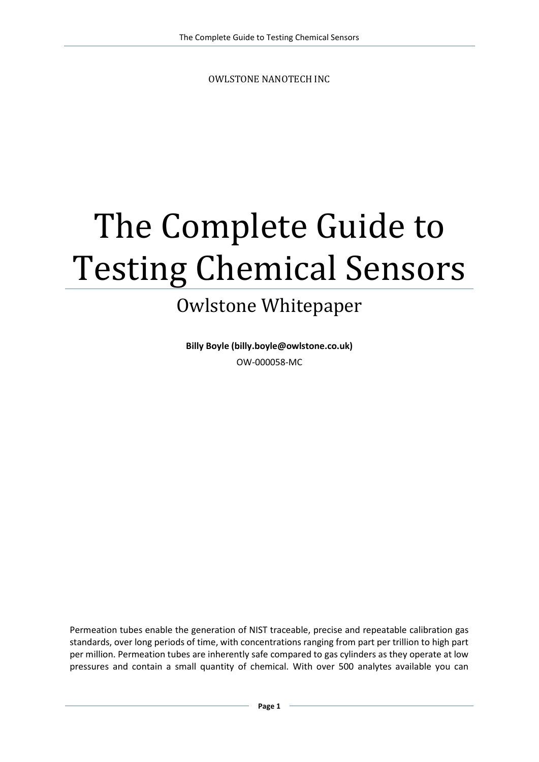OWLSTONE NANOTECH INC

# The Complete Guide to Testing Chemical Sensors

# Owlstone Whitepaper

**Billy Boyle (billy.boyle@owlstone.co.uk)** OW-000058-MC

Permeation tubes enable the generation of NIST traceable, precise and repeatable calibration gas standards, over long periods of time, with concentrations ranging from part per trillion to high part per million. Permeation tubes are inherently safe compared to gas cylinders as they operate at low pressures and contain a small quantity of chemical. With over 500 analytes available you can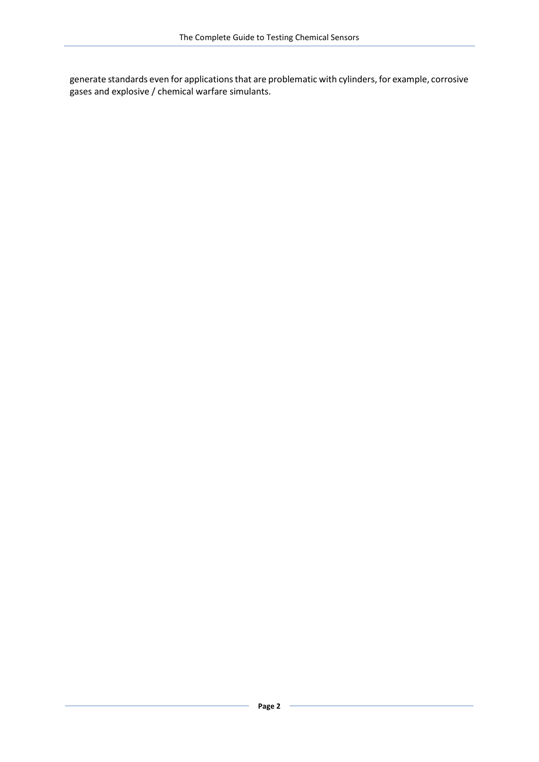generate standards even for applications that are problematic with cylinders, for example, corrosive gases and explosive / chemical warfare simulants.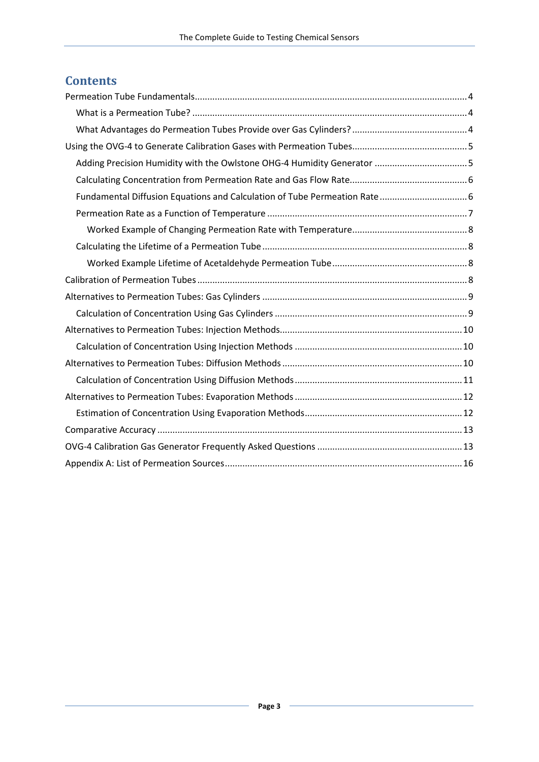### **Contents**

| Adding Precision Humidity with the Owlstone OHG-4 Humidity Generator 5 |  |  |  |  |
|------------------------------------------------------------------------|--|--|--|--|
|                                                                        |  |  |  |  |
|                                                                        |  |  |  |  |
|                                                                        |  |  |  |  |
|                                                                        |  |  |  |  |
|                                                                        |  |  |  |  |
|                                                                        |  |  |  |  |
|                                                                        |  |  |  |  |
|                                                                        |  |  |  |  |
|                                                                        |  |  |  |  |
|                                                                        |  |  |  |  |
|                                                                        |  |  |  |  |
|                                                                        |  |  |  |  |
|                                                                        |  |  |  |  |
|                                                                        |  |  |  |  |
|                                                                        |  |  |  |  |
|                                                                        |  |  |  |  |
|                                                                        |  |  |  |  |
|                                                                        |  |  |  |  |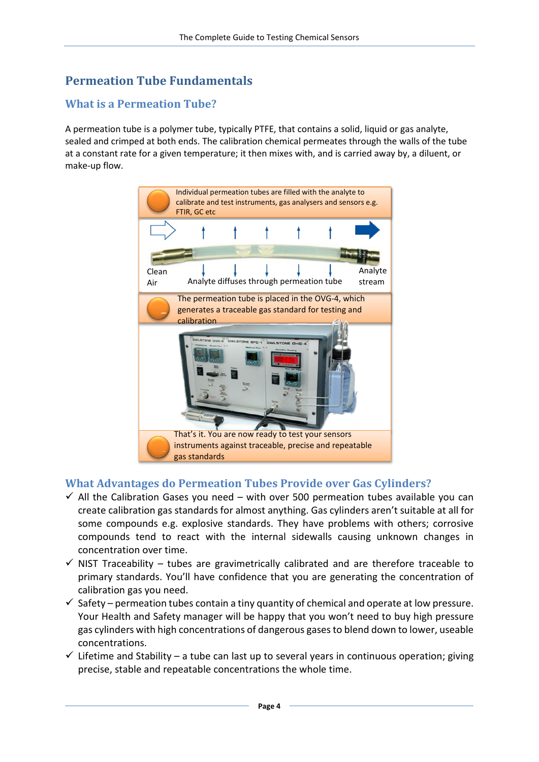# <span id="page-3-0"></span>**Permeation Tube Fundamentals**

#### <span id="page-3-1"></span>**What is a Permeation Tube?**

A permeation tube is a polymer tube, typically PTFE, that contains a solid, liquid or gas analyte, sealed and crimped at both ends. The calibration chemical permeates through the walls of the tube at a constant rate for a given temperature; it then mixes with, and is carried away by, a diluent, or make-up flow.



#### <span id="page-3-2"></span>**What Advantages do Permeation Tubes Provide over Gas Cylinders?**

- $\checkmark$  All the Calibration Gases you need with over 500 permeation tubes available you can create calibration gas standards for almost anything. Gas cylinders aren't suitable at all for some compounds e.g. explosive standards. They have problems with others; corrosive compounds tend to react with the internal sidewalls causing unknown changes in concentration over time.
- $\checkmark$  NIST Traceability tubes are gravimetrically calibrated and are therefore traceable to primary standards. You'll have confidence that you are generating the concentration of calibration gas you need.
- $\checkmark$  Safety permeation tubes contain a tiny quantity of chemical and operate at low pressure. Your Health and Safety manager will be happy that you won't need to buy high pressure gas cylinders with high concentrations of dangerous gases to blend down to lower, useable concentrations.
- $\checkmark$  Lifetime and Stability a tube can last up to several years in continuous operation; giving precise, stable and repeatable concentrations the whole time.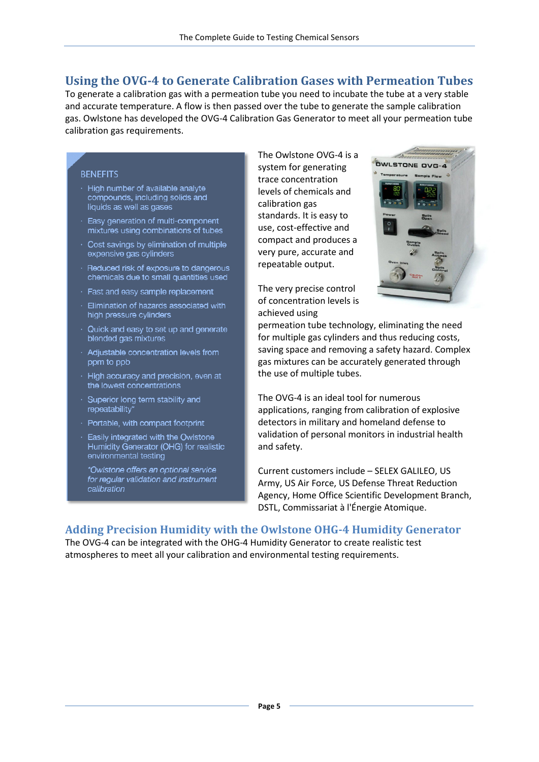#### <span id="page-4-0"></span>**Using the OVG-4 to Generate Calibration Gases with Permeation Tubes**

To generate a calibration gas with a permeation tube you need to incubate the tube at a very stable and accurate temperature. A flow is then passed over the tube to generate the sample calibration gas. Owlstone has developed the OVG-4 Calibration Gas Generator to meet all your permeation tube calibration gas requirements.

#### **BENEFITS**

- · High number of available analyte compounds, including solids and liquids as well as gases
- $\cdot$  Easy generation of multi-component mixtures using combinations of tubes
- · Cost savings by elimination of multiple expensive gas cylinders
- · Reduced risk of exposure to dangerous chemicals due to small quantities used
- · Fast and easy sample replacement
- · Elimination of hazards associated with high pressure cylinders
- $\cdot$  Quick and easy to set up and generate blended gas mixtures
- · Adjustable concentration levels from ppm to ppb
- $\cdot$  High accuracy and precision, even at the lowest concentrations
- $\cdot$  Superior long term stability and repeatability\*
- · Portable, with compact footprint
- · Easily integrated with the Owlstone Humidity Generator (OHG) for realistic environmental testing

\*Owlstone offers an optional service for regular validation and instrument calibration

The Owlstone OVG-4 is a system for generating trace concentration levels of chemicals and calibration gas standards. It is easy to use, cost-effective and compact and produces a very pure, accurate and repeatable output.



The very precise control of concentration levels is achieved using

permeation tube technology, eliminating the need for multiple gas cylinders and thus reducing costs, saving space and removing a safety hazard. Complex gas mixtures can be accurately generated through the use of multiple tubes.

The OVG-4 is an ideal tool for numerous applications, ranging from calibration of explosive detectors in military and homeland defense to validation of personal monitors in industrial health and safety.

Current customers include – SELEX GALILEO, US Army, US Air Force, US Defense Threat Reduction Agency, Home Office Scientific Development Branch, DSTL, Commissariat à l'Énergie Atomique.

#### <span id="page-4-1"></span>**Adding Precision Humidity with the Owlstone OHG-4 Humidity Generator**

The OVG-4 can be integrated with the OHG-4 Humidity Generator to create realistic test atmospheres to meet all your calibration and environmental testing requirements.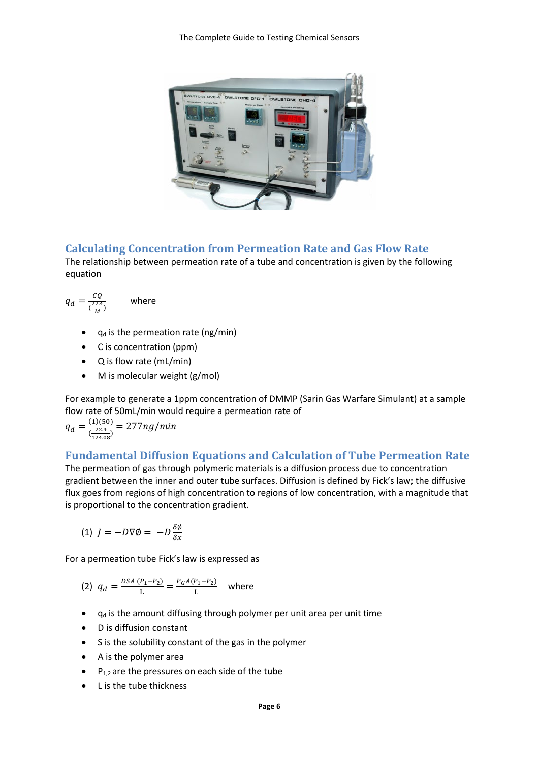

#### <span id="page-5-0"></span>**Calculating Concentration from Permeation Rate and Gas Flow Rate**

The relationship between permeation rate of a tube and concentration is given by the following equation

$$
q_d = \frac{cQ}{(\frac{22.4}{M})}
$$
 where

- $q_d$  is the permeation rate (ng/min)
- C is concentration (ppm)
- Q is flow rate (mL/min)
- M is molecular weight (g/mol)

For example to generate a 1ppm concentration of DMMP (Sarin Gas Warfare Simulant) at a sample flow rate of 50mL/min would require a permeation rate of

$$
q_d = \frac{(1)(50)}{\left(\frac{22.4}{124.08}\right)} = 277ng/min
$$

#### <span id="page-5-1"></span>**Fundamental Diffusion Equations and Calculation of Tube Permeation Rate**

The permeation of gas through polymeric materials is a diffusion process due to concentration gradient between the inner and outer tube surfaces. Diffusion is defined by Fick's law; the diffusive flux goes from regions of high concentration to regions of low concentration, with a magnitude that is proportional to the concentration gradient.

$$
(1) J = -D\nabla\phi = -D\frac{\delta\phi}{\delta x}
$$

For a permeation tube Fick's law is expressed as

(2) 
$$
q_d = \frac{DSA(P_1 - P_2)}{L} = \frac{P_G A(P_1 - P_2)}{L}
$$
 where

- $q_d$  is the amount diffusing through polymer per unit area per unit time
- D is diffusion constant
- S is the solubility constant of the gas in the polymer
- A is the polymer area
- $\bullet$  P<sub>1,2</sub> are the pressures on each side of the tube
- L is the tube thickness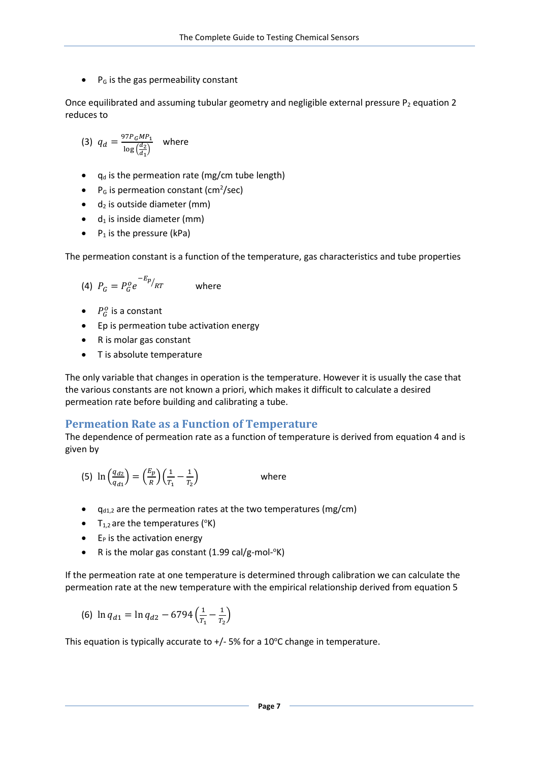$\bullet$  P<sub>G</sub> is the gas permeability constant

Once equilibrated and assuming tubular geometry and negligible external pressure  $P_2$  equation 2 reduces to

(3) 
$$
q_d = \frac{97P_GMP_1}{\log(\frac{d_2}{d_1})}
$$
 where

- $q_d$  is the permeation rate (mg/cm tube length)
- P<sub>G</sub> is permeation constant (cm<sup>2</sup>/sec)
- $\bullet$  d<sub>2</sub> is outside diameter (mm)
- $\bullet$  d<sub>1</sub> is inside diameter (mm)
- $P_1$  is the pressure (kPa)

The permeation constant is a function of the temperature, gas characteristics and tube properties

$$
(4) P_G = P_G^o e^{-E_p}/RT \qquad \text{where}
$$

- $P_G^o$  is a constant
- Ep is permeation tube activation energy
- R is molar gas constant
- T is absolute temperature

The only variable that changes in operation is the temperature. However it is usually the case that the various constants are not known a priori, which makes it difficult to calculate a desired permeation rate before building and calibrating a tube.

#### <span id="page-6-0"></span>**Permeation Rate as a Function of Temperature**

The dependence of permeation rate as a function of temperature is derived from equation 4 and is given by

- (5)  $\ln \left( \frac{q_{d2}}{q_{d3}} \right)$  $\left(\frac{q_{d2}}{q_{d1}}\right) = \left(\frac{E_p}{R}\right) \left(\frac{1}{T_1} - \frac{1}{T_2}\right)$ where
- $\bullet$   $q_{d1,2}$  are the permeation rates at the two temperatures (mg/cm)
- $T_{1,2}$  are the temperatures (°K)
- $\bullet$  E<sub>P</sub> is the activation energy
- R is the molar gas constant (1.99 cal/g-mol-°K)

If the permeation rate at one temperature is determined through calibration we can calculate the permeation rate at the new temperature with the empirical relationship derived from equation 5

(6) 
$$
\ln q_{d1} = \ln q_{d2} - 6794 \left( \frac{1}{T_1} - \frac{1}{T_2} \right)
$$

This equation is typically accurate to  $+/-5\%$  for a 10°C change in temperature.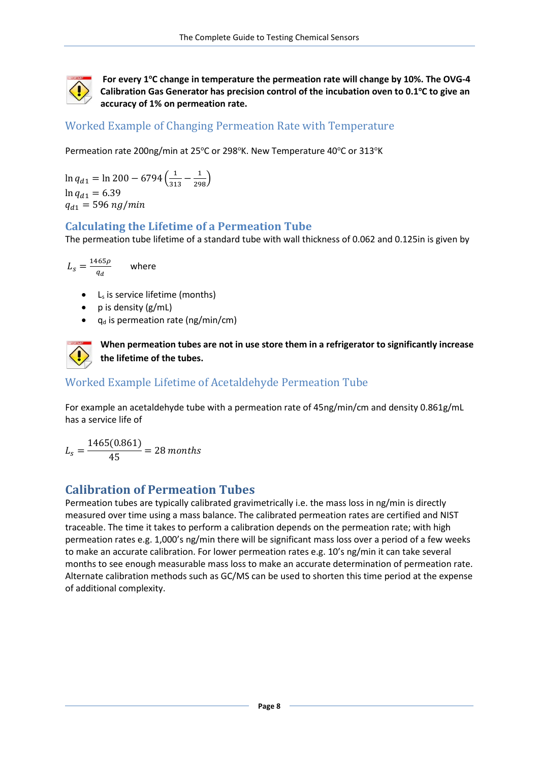

For every 1°C change in temperature the permeation rate will change by 10%. The OVG-4 Calibration Gas Generator has precision control of the incubation oven to 0.1°C to give an **accuracy of 1% on permeation rate.** 

#### <span id="page-7-0"></span>Worked Example of Changing Permeation Rate with Temperature

Permeation rate 200ng/min at 25°C or 298°K. New Temperature 40°C or 313°K

 $\ln q_{d1} = \ln 200 - 6794 \left( \frac{1}{313} - \frac{1}{298} \right)$  $\ln q_{d1} = 6.39$  $q_{d1} = 596$  ng/min

#### <span id="page-7-1"></span>**Calculating the Lifetime of a Permeation Tube**

The permeation tube lifetime of a standard tube with wall thickness of 0.062 and 0.125in is given by

$$
L_s = \frac{1465\rho}{q_d} \qquad \text{where}
$$

- $\bullet$  L<sub>s</sub> is service lifetime (months)
- p is density (g/mL)
- $q_d$  is permeation rate (ng/min/cm)



**When permeation tubes are not in use store them in a refrigerator to significantly increase the lifetime of the tubes.** 

#### <span id="page-7-2"></span>Worked Example Lifetime of Acetaldehyde Permeation Tube

For example an acetaldehyde tube with a permeation rate of 45ng/min/cm and density 0.861g/mL has a service life of

<span id="page-7-3"></span>
$$
L_s = \frac{1465(0.861)}{45} = 28 \text{ months}
$$

#### **Calibration of Permeation Tubes**

Permeation tubes are typically calibrated gravimetrically i.e. the mass loss in ng/min is directly measured over time using a mass balance. The calibrated permeation rates are certified and NIST traceable. The time it takes to perform a calibration depends on the permeation rate; with high permeation rates e.g. 1,000's ng/min there will be significant mass loss over a period of a few weeks to make an accurate calibration. For lower permeation rates e.g. 10's ng/min it can take several months to see enough measurable mass loss to make an accurate determination of permeation rate. Alternate calibration methods such as GC/MS can be used to shorten this time period at the expense of additional complexity.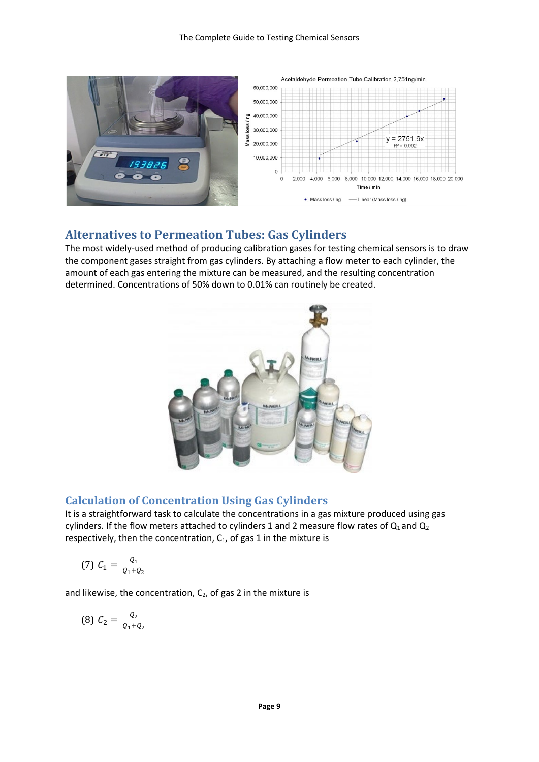

#### <span id="page-8-0"></span>**Alternatives to Permeation Tubes: Gas Cylinders**

The most widely-used method of producing calibration gases for testing chemical sensors is to draw the component gases straight from gas cylinders. By attaching a flow meter to each cylinder, the amount of each gas entering the mixture can be measured, and the resulting concentration determined. Concentrations of 50% down to 0.01% can routinely be created.



#### <span id="page-8-1"></span>**Calculation of Concentration Using Gas Cylinders**

It is a straightforward task to calculate the concentrations in a gas mixture produced using gas cylinders. If the flow meters attached to cylinders 1 and 2 measure flow rates of  $Q_1$  and  $Q_2$ respectively, then the concentration,  $C_1$ , of gas 1 in the mixture is

(7) 
$$
C_1 = \frac{Q_1}{Q_1 + Q_2}
$$

and likewise, the concentration,  $C_2$ , of gas 2 in the mixture is

$$
(8) C_2 = \frac{Q_2}{Q_1 + Q_2}
$$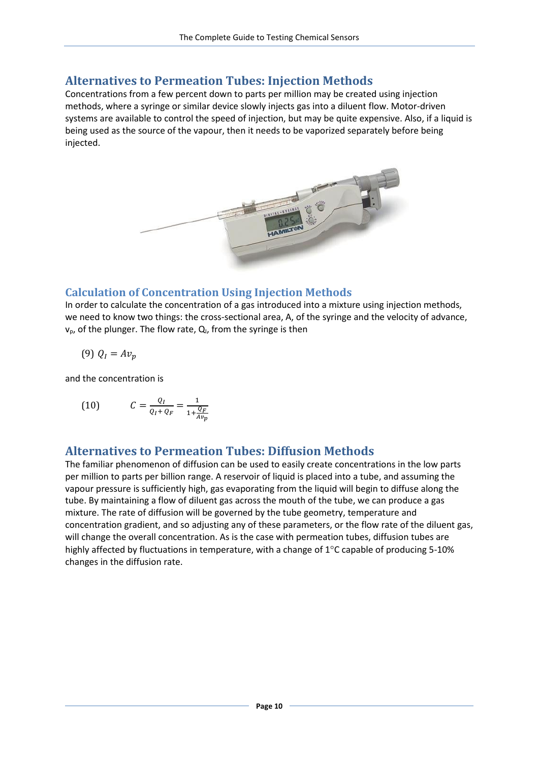#### <span id="page-9-0"></span>**Alternatives to Permeation Tubes: Injection Methods**

Concentrations from a few percent down to parts per million may be created using injection methods, where a syringe or similar device slowly injects gas into a diluent flow. Motor-driven systems are available to control the speed of injection, but may be quite expensive. Also, if a liquid is being used as the source of the vapour, then it needs to be vaporized separately before being injected.



#### <span id="page-9-1"></span>**Calculation of Concentration Using Injection Methods**

In order to calculate the concentration of a gas introduced into a mixture using injection methods, we need to know two things: the cross-sectional area, A, of the syringe and the velocity of advance,  $v_p$ , of the plunger. The flow rate,  $Q_i$ , from the syringe is then

$$
(9) Q_I = Av_p
$$

and the concentration is

(10) 
$$
C = \frac{Q_I}{Q_I + Q_F} = \frac{1}{1 + \frac{Q_F}{Av_p}}
$$

#### <span id="page-9-2"></span>**Alternatives to Permeation Tubes: Diffusion Methods**

The familiar phenomenon of diffusion can be used to easily create concentrations in the low parts per million to parts per billion range. A reservoir of liquid is placed into a tube, and assuming the vapour pressure is sufficiently high, gas evaporating from the liquid will begin to diffuse along the tube. By maintaining a flow of diluent gas across the mouth of the tube, we can produce a gas mixture. The rate of diffusion will be governed by the tube geometry, temperature and concentration gradient, and so adjusting any of these parameters, or the flow rate of the diluent gas, will change the overall concentration. As is the case with permeation tubes, diffusion tubes are highly affected by fluctuations in temperature, with a change of  $1^{\circ}$ C capable of producing 5-10% changes in the diffusion rate.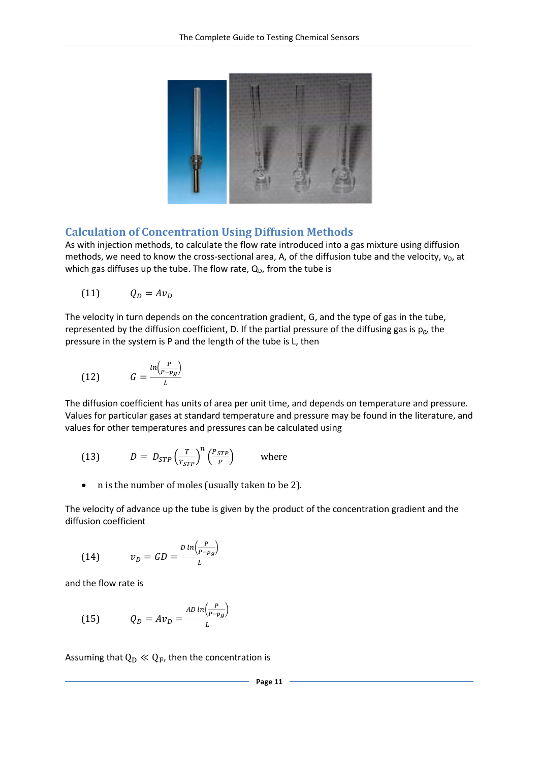

#### <span id="page-10-0"></span>**Calculation of Concentration Using Diffusion Methods**

As with injection methods, to calculate the flow rate introduced into a gas mixture using diffusion methods, we need to know the cross-sectional area, A, of the diffusion tube and the velocity,  $v_D$ , at which gas diffuses up the tube. The flow rate,  $Q_D$ , from the tube is

$$
(11) \hspace{1cm} Q_D = Av_D
$$

The velocity in turn depends on the concentration gradient, G, and the type of gas in the tube, represented by the diffusion coefficient, D. If the partial pressure of the diffusing gas is  $p_g$ , the pressure in the system is P and the length of the tube is L, then

$$
(12) \t G = \frac{\ln\left(\frac{P}{P - p_g}\right)}{L}
$$

The diffusion coefficient has units of area per unit time, and depends on temperature and pressure. Values for particular gases at standard temperature and pressure may be found in the literature, and values for other temperatures and pressures can be calculated using

(13) 
$$
D = D_{STP} \left(\frac{T}{T_{STP}}\right)^n \left(\frac{P_{STP}}{P}\right) \quad \text{where}
$$

• n is the number of moles (usually taken to be 2).

The velocity of advance up the tube is given by the product of the concentration gradient and the diffusion coefficient

(14) 
$$
v_D = GD = \frac{D \ln \left(\frac{P}{P - p_g}\right)}{L}
$$

and the flow rate is

(15) 
$$
Q_D = Av_D = \frac{AD \ln \left(\frac{P}{P - p_g}\right)}{L}
$$

Assuming that  $Q_D \ll Q_F$ , then the concentration is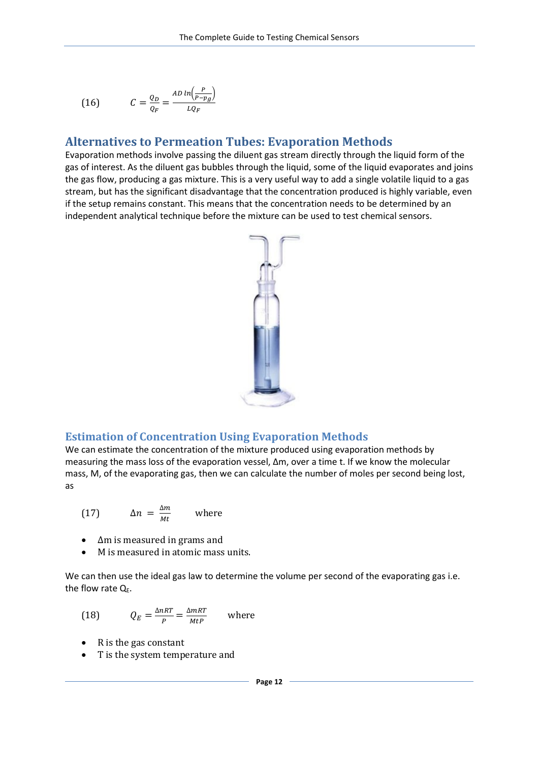$$
(16) \tC = \frac{Q_D}{Q_F} = \frac{AD \ln\left(\frac{P}{P - p_g}\right)}{LQ_F}
$$

#### <span id="page-11-0"></span>**Alternatives to Permeation Tubes: Evaporation Methods**

Evaporation methods involve passing the diluent gas stream directly through the liquid form of the gas of interest. As the diluent gas bubbles through the liquid, some of the liquid evaporates and joins the gas flow, producing a gas mixture. This is a very useful way to add a single volatile liquid to a gas stream, but has the significant disadvantage that the concentration produced is highly variable, even if the setup remains constant. This means that the concentration needs to be determined by an independent analytical technique before the mixture can be used to test chemical sensors.



#### <span id="page-11-1"></span>**Estimation of Concentration Using Evaporation Methods**

We can estimate the concentration of the mixture produced using evaporation methods by measuring the mass loss of the evaporation vessel, Δm, over a time t. If we know the molecular mass, M, of the evaporating gas, then we can calculate the number of moles per second being lost, as

(17) 
$$
\Delta n = \frac{\Delta m}{Mt} \quad \text{where}
$$

- Δm is measured in grams and
- M is measured in atomic mass units.

We can then use the ideal gas law to determine the volume per second of the evaporating gas i.e. the flow rate  $Q_E$ .

(18) 
$$
Q_E = \frac{\Delta nRT}{P} = \frac{\Delta mRT}{MtP}
$$
 where

- R is the gas constant
- T is the system temperature and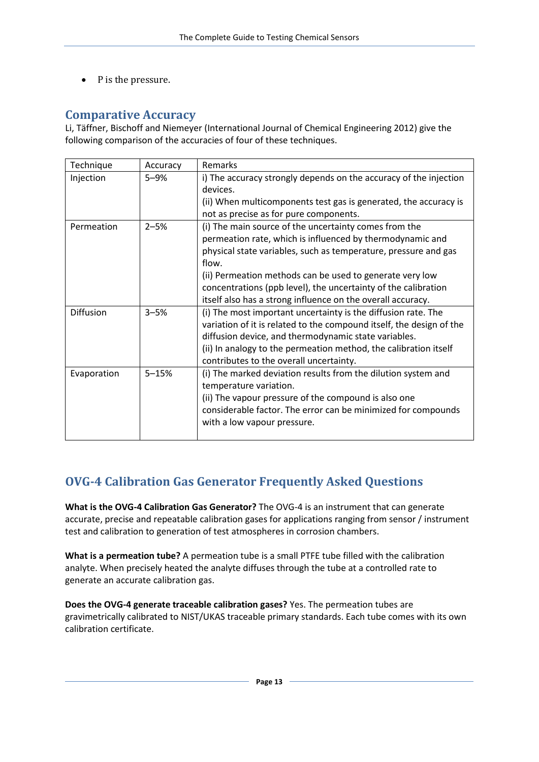<span id="page-12-0"></span>• P is the pressure.

#### **Comparative Accuracy**

Li, Täffner, Bischoff and Niemeyer (International Journal of Chemical Engineering 2012) give the following comparison of the accuracies of four of these techniques.

| Technique   | Accuracy  | Remarks                                                              |
|-------------|-----------|----------------------------------------------------------------------|
| Injection   | $5 - 9%$  | i) The accuracy strongly depends on the accuracy of the injection    |
|             |           | devices.                                                             |
|             |           | (ii) When multicomponents test gas is generated, the accuracy is     |
|             |           | not as precise as for pure components.                               |
| Permeation  | $2 - 5%$  | (i) The main source of the uncertainty comes from the                |
|             |           | permeation rate, which is influenced by thermodynamic and            |
|             |           | physical state variables, such as temperature, pressure and gas      |
|             |           | flow.                                                                |
|             |           | (ii) Permeation methods can be used to generate very low             |
|             |           | concentrations (ppb level), the uncertainty of the calibration       |
|             |           | itself also has a strong influence on the overall accuracy.          |
| Diffusion   | $3 - 5%$  | (i) The most important uncertainty is the diffusion rate. The        |
|             |           | variation of it is related to the compound itself, the design of the |
|             |           | diffusion device, and thermodynamic state variables.                 |
|             |           | (ii) In analogy to the permeation method, the calibration itself     |
|             |           | contributes to the overall uncertainty.                              |
| Evaporation | $5 - 15%$ | (i) The marked deviation results from the dilution system and        |
|             |           | temperature variation.                                               |
|             |           | (ii) The vapour pressure of the compound is also one                 |
|             |           | considerable factor. The error can be minimized for compounds        |
|             |           | with a low vapour pressure.                                          |
|             |           |                                                                      |

## <span id="page-12-1"></span>**OVG-4 Calibration Gas Generator Frequently Asked Questions**

**What is the OVG-4 Calibration Gas Generator?** The OVG-4 is an instrument that can generate accurate, precise and repeatable calibration gases for applications ranging from sensor / instrument test and calibration to generation of test atmospheres in corrosion chambers.

**What is a permeation tube?** A permeation tube is a small PTFE tube filled with the calibration analyte. When precisely heated the analyte diffuses through the tube at a controlled rate to generate an accurate calibration gas.

**Does the OVG-4 generate traceable calibration gases?** Yes. The permeation tubes are gravimetrically calibrated to NIST/UKAS traceable primary standards. Each tube comes with its own calibration certificate.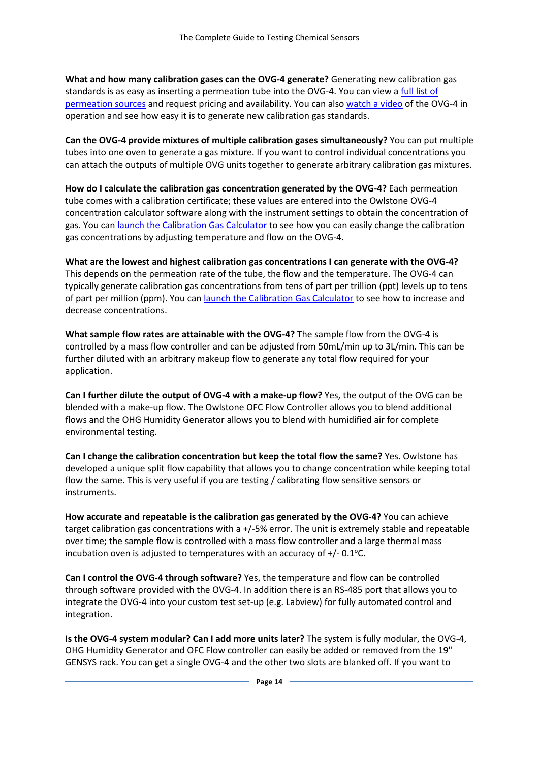**What and how many calibration gases can the OVG-4 generate?** Generating new calibration gas standards is as easy as inserting a permeation tube into the OVG-4. You can view a full list of [permeation sources](http://www.owlstonenanotech.com/site.php?ovg_permeationtube) and request pricing and availability. You can also [watch a video](http://www.youtube.com/watch?v=rXudgyyPFn0) of the OVG-4 in operation and see how easy it is to generate new calibration gas standards.

**Can the OVG-4 provide mixtures of multiple calibration gases simultaneously?** You can put multiple tubes into one oven to generate a gas mixture. If you want to control individual concentrations you can attach the outputs of multiple OVG units together to generate arbitrary calibration gas mixtures.

**How do I calculate the calibration gas concentration generated by the OVG-4?** Each permeation tube comes with a calibration certificate; these values are entered into the Owlstone OVG-4 concentration calculator software along with the instrument settings to obtain the concentration of gas. You ca[n launch the Calibration Gas Calculator](http://www.owlstonenanotech.com/site.php?ovg_ConcCal) to see how you can easily change the calibration gas concentrations by adjusting temperature and flow on the OVG-4.

**What are the lowest and highest calibration gas concentrations I can generate with the OVG-4?** This depends on the permeation rate of the tube, the flow and the temperature. The OVG-4 can typically generate calibration gas concentrations from tens of part per trillion (ppt) levels up to tens of part per million (ppm). You can [launch the Calibration Gas Calculator](http://www.owlstonenanotech.com/site.php?ovg_ConcCal) to see how to increase and decrease concentrations.

**What sample flow rates are attainable with the OVG-4?** The sample flow from the OVG-4 is controlled by a mass flow controller and can be adjusted from 50mL/min up to 3L/min. This can be further diluted with an arbitrary makeup flow to generate any total flow required for your application.

**Can I further dilute the output of OVG-4 with a make-up flow?** Yes, the output of the OVG can be blended with a make-up flow. The Owlstone OFC Flow Controller allows you to blend additional flows and the OHG Humidity Generator allows you to blend with humidified air for complete environmental testing.

**Can I change the calibration concentration but keep the total flow the same?** Yes. Owlstone has developed a unique split flow capability that allows you to change concentration while keeping total flow the same. This is very useful if you are testing / calibrating flow sensitive sensors or instruments.

**How accurate and repeatable is the calibration gas generated by the OVG-4?** You can achieve target calibration gas concentrations with a +/-5% error. The unit is extremely stable and repeatable over time; the sample flow is controlled with a mass flow controller and a large thermal mass incubation oven is adjusted to temperatures with an accuracy of  $+/-0.1$  °C.

**Can I control the OVG-4 through software?** Yes, the temperature and flow can be controlled through software provided with the OVG-4. In addition there is an RS-485 port that allows you to integrate the OVG-4 into your custom test set-up (e.g. Labview) for fully automated control and integration.

**Is the OVG-4 system modular? Can I add more units later?** The system is fully modular, the OVG-4, OHG Humidity Generator and OFC Flow controller can easily be added or removed from the 19" GENSYS rack. You can get a single OVG-4 and the other two slots are blanked off. If you want to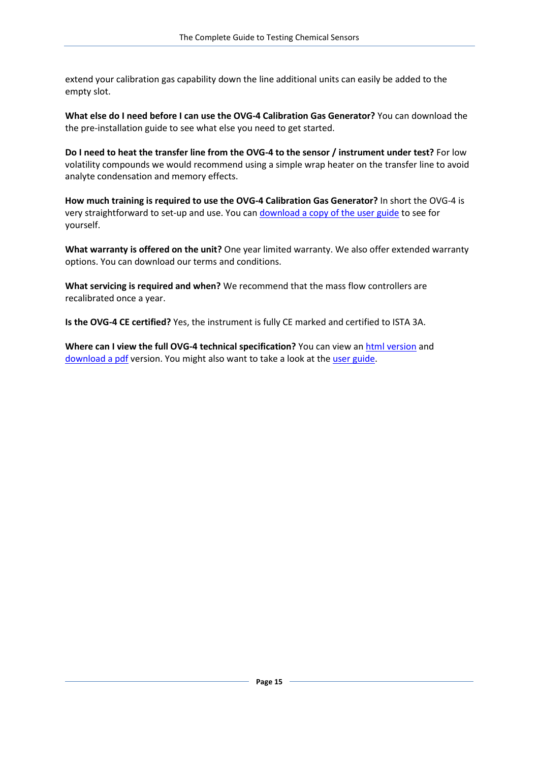extend your calibration gas capability down the line additional units can easily be added to the empty slot.

**What else do I need before I can use the OVG-4 Calibration Gas Generator?** You can download the the pre-installation guide to see what else you need to get started.

**Do I need to heat the transfer line from the OVG-4 to the sensor / instrument under test?** For low volatility compounds we would recommend using a simple wrap heater on the transfer line to avoid analyte condensation and memory effects.

**How much training is required to use the OVG-4 Calibration Gas Generator?** In short the OVG-4 is very straightforward to set-up and use. You can [download a copy of the user guide](http://www.box.net/shared/6z69nc377i) to see for yourself.

**What warranty is offered on the unit?** One year limited warranty. We also offer extended warranty options. You can download our terms and conditions.

**What servicing is required and when?** We recommend that the mass flow controllers are recalibrated once a year.

**Is the OVG-4 CE certified?** Yes, the instrument is fully CE marked and certified to ISTA 3A.

**Where can I view the full OVG-4 technical specification?** You can view an [html version](http://www.owlstonenanotech.com/site.php?ovg_spec) and [download a pdf](http://www.box.net/shared/fa9lqp61el) version. You might also want to take a look at th[e user guide.](http://www.box.net/shared/6z69nc377i)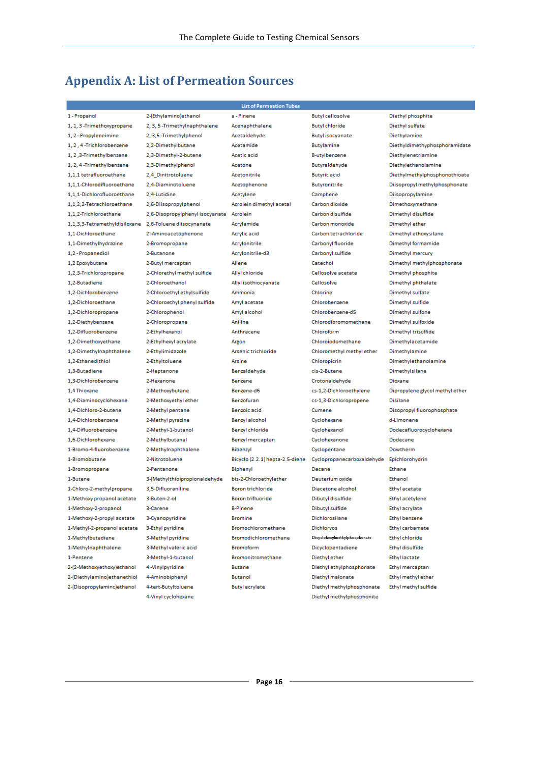# <span id="page-15-0"></span>**Appendix A: List of Permeation Sources**

| <b>List of Permeation Tubes</b> |                                 |                                 |                               |                                 |  |  |
|---------------------------------|---------------------------------|---------------------------------|-------------------------------|---------------------------------|--|--|
| 1 - Propanol                    | 2-(Ethylamino)ethanol           | a - Pinene                      | <b>Butyl cellosolve</b>       | Diethyl phosphite               |  |  |
| 1, 1, 3 -Trimethoxypropane      | 2, 3, 5-Trimethylnaphthalene    | Acenaphthalene                  | <b>Butyl chloride</b>         | Diethyl sulfate                 |  |  |
| 1, 2 - Propyleneimine           | 2, 3,5-Trimethylphenol          | Acetaldehyde                    | <b>Butyl isocyanate</b>       | Diethylamine                    |  |  |
| 1.2.4-Trichlorobenzene          | 2,2-Dimethylbutane              | Acetamide                       | <b>Butylamine</b>             | Diethyldimethyphosphoramidate   |  |  |
| 1, 2, 3-Trimethylbenzene        | 2.3-Dimethyl-2-butene           | Acetic acid                     | B-utylbenzene                 | Diethylenetriamine              |  |  |
| 1, 2, 4-Trimethylbenzene        | 2.3-Dimethylphenol              | Acetone                         | Butyraldehyde                 | Diethylethanolamine             |  |  |
| 1,1,1 tetrafluoroethane         | 2,4 Dinitrotoluene              | Acetonitrile                    | <b>Butyric acid</b>           | Diethylmethylphosphonothioate   |  |  |
| 1,1,1-Chlorodifluoroethane      | 2,4-Diaminotoluene              | Acetophenone                    | <b>Butyronitrile</b>          | Diisopropyl methylphosphonate   |  |  |
| 1,1,1-Dichlorofluoroethane      | 2,4-Lutidine                    | Acetylene                       | Camphene                      | Diisopropylamine                |  |  |
| 1,1,2,2-Tetrachloroethane       | 2,6-Diisopropylphenol           | Acrolein dimethyl acetal        | Carbon dioxide                | Dimethoxymethane                |  |  |
| 1.1.2-Trichloroethane           | 2,6-Disopropylphenyl isocyanate | Acrolein                        | Carbon disulfide              | Dimethyl disulfide              |  |  |
| 1,1,3,3-Tetramethyldisiloxane   | 2,6-Toluene diisocynanate       | Acrylamide                      | Carbon monoxide               | Dimethyl ether                  |  |  |
| 1,1-Dichloroethane              | 2'-Aminoacetophenone            | Acrylic acid                    | Carbon tetrachloride          | Dimethyl ethoxysilane           |  |  |
| 1,1-Dimethylhydrazine           | 2-Bromopropane                  | Acrylonitrile                   | Carbonyl fluoride             | Dimethyl formamide              |  |  |
| 1,2 - Propanediol               | 2-Butanone                      | Acrylonitrile-d3                | Carbonyl sulfide              | Dimethyl mercury                |  |  |
| 1,2 Epoxybutane                 | 2-Butyl mercaptan               | Allene                          | Catechol                      | Dimethyl methylphosphonate      |  |  |
| 1,2,3-Trichloropropane          | 2-Chlorethyl methyl sulfide     | Allyl chloride                  | Cellosolve acetate            | Dimethyl phosphite              |  |  |
| 1.2-Butadiene                   | 2-Chloroethanol                 | Allyl isothiocyanate            | Cellosolve                    | Dimethyl phthalate              |  |  |
| 1,2-Dichlorobenzene             | 2-Chloroethyl ethylsulfide      | Ammonia                         | Chlorine                      | Dimethyl sulfate                |  |  |
| 1,2-Dichloroethane              | 2-Chloroethyl phenyl sulfide    | Amyl acetate                    | Chlorobenzene                 | Dimethyl sulfide                |  |  |
| 1,2-Dichloropropane             | 2-Chlorophenol                  | Amyl alcohol                    | Chlorobenzene-d5              | Dimethyl sulfone                |  |  |
| 1,2-Diethybenzene               | 2-Chloropropane                 | Aniline                         | Chlorodibromomethane          | Dimethyl sulfoxide              |  |  |
| 1,2-Difluorobenzene             | 2-Ethylhexanol                  | Anthracene                      | Chloroform                    | Dimethyl trisulfide             |  |  |
| 1,2-Dimethoxyethane             | 2-Ethylhexyl acrylate           | Argon                           | Chloroiodomethane             | Dimethylacetamide               |  |  |
| 1,2-Dimethylnaphthalene         | 2-Ethylimidazole                | Arsenic trichloride             | Chloromethyl methyl ether     | Dimethylamine                   |  |  |
| 1,2-Ethanedithiol               | 2-Ethyltoluene                  | Arsine                          | Chloropicrin                  | Dimethylethanolamine            |  |  |
| 1.3-Butadiene                   | 2-Heptanone                     | Benzaldehyde                    | cis-2-Butene                  | Dimethylsilane                  |  |  |
| 1,3-Dichlorobenzene             | 2-Hexanone                      | Benzene                         | Crotonaldehyde                | Dioxane                         |  |  |
| 1.4 Thioxane                    | 2-Methoxybutane                 | Benzene-d6                      | cs-1,2-Dichloroethylene       | Dipropylene glycol methyl ether |  |  |
| 1,4-Diaminocyclohexane          | 2-Methoxyethyl ether            | Benzofuran                      | cs-1,3-Dichloropropene        | <b>Disilane</b>                 |  |  |
| 1.4-Dichloro-2-butene           | 2-Methyl pentane                | Benzoic acid                    | Cumene                        | Disopropyl fluorophosphate      |  |  |
| 1,4-Dichlorobenzene             | 2-Methyl pyrazine               | Benzyl alcohol                  | Cyclohexane                   | d-Limonene                      |  |  |
| 1,4-Difluorobenzene             | 2-Methyl-1-butanol              | Benzyl chloride                 | Cyclohexanol                  | Dodecafluorocyclohexane         |  |  |
| 1,6-Dichlorohexane              | 2-Methylbutanal                 | Benzyl mercaptan                | Cyclohexanone                 | Dodecane                        |  |  |
| 1-Bromo-4-fluorobenzene         | 2-Methylnaphthalene             | Bibenzyl                        | Cyclopentane                  | Dowtherm                        |  |  |
| 1-Bromobutane                   | 2-Nitrotoluene                  | Bicyclo (2.2.1) hepta-2.5-diene | Cyclopropanecarboxaldehyde    | Epichlorohydrin                 |  |  |
| 1-Bromopropane                  | 2-Pentanone                     | Biphenyl                        | Decane                        | Ethane                          |  |  |
| 1-Butene                        | 3-(Methylthio)propionaldehyde   | bis-2-Chloroethylether          | Deuterium oxide               | Ethanol                         |  |  |
| 1-Chloro-2-methylpropane        | 3.5-Difluoraniline              | <b>Boron trichloride</b>        | Diacetone alcohol             | Ethyl acetate                   |  |  |
| 1-Methoxy propanol acetate      | 3-Buten-2-ol                    | <b>Boron trifluoride</b>        | Dibutyl disulfide             | Ethyl acetylene                 |  |  |
| 1-Methoxy-2-propanol            | 3-Carene                        | <b>B-Pinene</b>                 | Dibutyl sulfide               | Ethyl acrylate                  |  |  |
| 1-Methoxy-2-propyl acetate      | 3-Cyanopyridine                 | <b>Bromine</b>                  | Dichlorosilane                | Ethyl benzene                   |  |  |
| 1-Methyl-2-propanol acetate     | 3-Ethyl pyridine                | Bromochloromethane              | Dichlorvos                    | Ethyl carbamate                 |  |  |
| 1-Methylbutadiene               | 3-Methyl pyridine               | Bromodichloromethane            | Dicyclohexylmethylphosphonate | Ethyl chloride                  |  |  |
| 1-Methylnaphthalene             | 3-Methyl valeric acid           | Bromoform                       | Dicyclopentadiene             | Ethyl disulfide                 |  |  |
| 1-Pentene                       | 3-Methyl-1-butanol              | Bromonitromethane               | Diethyl ether                 | <b>Ethyl lactate</b>            |  |  |
| 2-(2-Methoxyethoxy)ethanol      | 4-Vinylpyridine                 | Butane                          | Diethyl ethylphosphonate      | Ethyl mercaptan                 |  |  |
| 2-(Diethylamino) ethanethiol    | 4-Aminobiphenyl                 | Butanol                         | Diethyl malonate              | Ethyl methyl ether              |  |  |
| 2-(Disopropylaminc) ethanol     | 4-tert-Butyltoluene             | <b>Butyl acrylate</b>           | Diethyl methylphosphonate     | Ethyl methyl sulfide            |  |  |
|                                 | 4-Vinyl cyclohexane             |                                 | Diethyl methylphosphonite     |                                 |  |  |